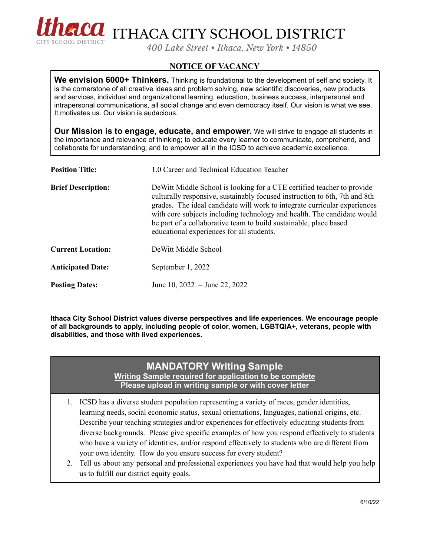

FICO ITHACA CITY SCHOOL DISTRICT

*400 Lake Street • Ithaca, New York • 14850*

## **NOTICE OF VACANCY**

**We envision 6000+ Thinkers.** Thinking is foundational to the development of self and society. It is the cornerstone of all creative ideas and problem solving, new scientific discoveries, new products and services, individual and organizational learning, education, business success, interpersonal and intrapersonal communications, all social change and even democracy itself. Our vision is what we see. It motivates us. Our vision is audacious.

**Our Mission is to engage, educate, and empower.** We will strive to engage all students in the importance and relevance of thinking; to educate every learner to communicate, comprehend, and collaborate for understanding; and to empower all in the ICSD to achieve academic excellence.

| <b>Position Title:</b>    | 1.0 Career and Technical Education Teacher                                                                                                                                                                                                                                                                                                                                                                                      |
|---------------------------|---------------------------------------------------------------------------------------------------------------------------------------------------------------------------------------------------------------------------------------------------------------------------------------------------------------------------------------------------------------------------------------------------------------------------------|
| <b>Brief Description:</b> | De Witt Middle School is looking for a CTE certified teacher to provide<br>culturally responsive, sustainably focused instruction to 6th, 7th and 8th<br>grades. The ideal candidate will work to integrate curricular experiences<br>with core subjects including technology and health. The candidate would<br>be part of a collaborative team to build sustainable, place based<br>educational experiences for all students. |
| <b>Current Location:</b>  | DeWitt Middle School                                                                                                                                                                                                                                                                                                                                                                                                            |
| <b>Anticipated Date:</b>  | September 1, 2022                                                                                                                                                                                                                                                                                                                                                                                                               |
| <b>Posting Dates:</b>     | June 10, $2022 -$ June 22, 2022                                                                                                                                                                                                                                                                                                                                                                                                 |

**Ithaca City School District values diverse perspectives and life experiences. We encourage people of all backgrounds to apply, including people of color, women, LGBTQIA+, veterans, people with disabilities, and those with lived experiences.**

## **MANDATORY Writing Sample Writing Sample required for application to be complete**

**Please upload in writing sample or with cover letter**

- 1. ICSD has a diverse student population representing a variety of races, gender identities, learning needs, social economic status, sexual orientations, languages, national origins, etc. Describe your teaching strategies and/or experiences for effectively educating students from diverse backgrounds. Please give specific examples of how you respond effectively to students who have a variety of identities, and/or respond effectively to students who are different from your own identity. How do you ensure success for every student?
- 2. Tell us about any personal and professional experiences you have had that would help you help us to fulfill our district equity goals.